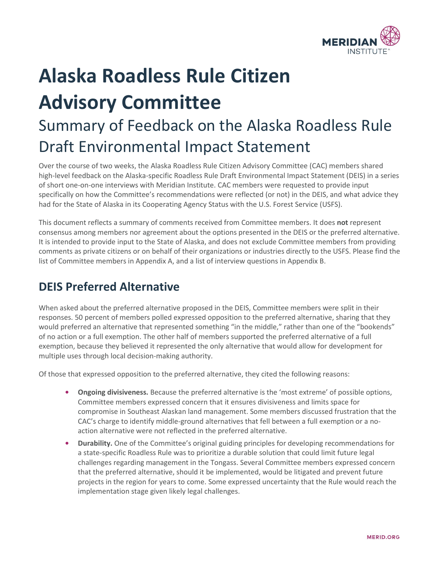

# **Alaska Roadless Rule Citizen Advisory Committee**  Summary of Feedback on the Alaska Roadless Rule Draft Environmental Impact Statement

Over the course of two weeks, the Alaska Roadless Rule Citizen Advisory Committee (CAC) members shared high-level feedback on the Alaska-specific Roadless Rule Draft Environmental Impact Statement (DEIS) in a series of short one-on-one interviews with Meridian Institute. CAC members were requested to provide input specifically on how the Committee's recommendations were reflected (or not) in the DEIS, and what advice they had for the State of Alaska in its Cooperating Agency Status with the U.S. Forest Service (USFS).

This document reflects a summary of comments received from Committee members. It does **not** represent consensus among members nor agreement about the options presented in the DEIS or the preferred alternative. It is intended to provide input to the State of Alaska, and does not exclude Committee members from providing comments as private citizens or on behalf of their organizations or industries directly to the USFS. Please find the list of Committee members in Appendix A, and a list of interview questions in Appendix B.

# **DEIS Preferred Alternative**

When asked about the preferred alternative proposed in the DEIS, Committee members were split in their responses. 50 percent of members polled expressed opposition to the preferred alternative, sharing that they would preferred an alternative that represented something "in the middle," rather than one of the "bookends" of no action or a full exemption. The other half of members supported the preferred alternative of a full exemption, because they believed it represented the only alternative that would allow for development for multiple uses through local decision-making authority.

Of those that expressed opposition to the preferred alternative, they cited the following reasons:

- **• Ongoing divisiveness.** Because the preferred alternative is the 'most extreme' of possible options, Committee members expressed concern that it ensures divisiveness and limits space for compromise in Southeast Alaskan land management. Some members discussed frustration that the CAC's charge to identify middle-ground alternatives that fell between a full exemption or a noaction alternative were not reflected in the preferred alternative.
- **• Durability.** One of the Committee's original guiding principles for developing recommendations for a state-specific Roadless Rule was to prioritize a durable solution that could limit future legal challenges regarding management in the Tongass. Several Committee members expressed concern that the preferred alternative, should it be implemented, would be litigated and prevent future projects in the region for years to come. Some expressed uncertainty that the Rule would reach the implementation stage given likely legal challenges.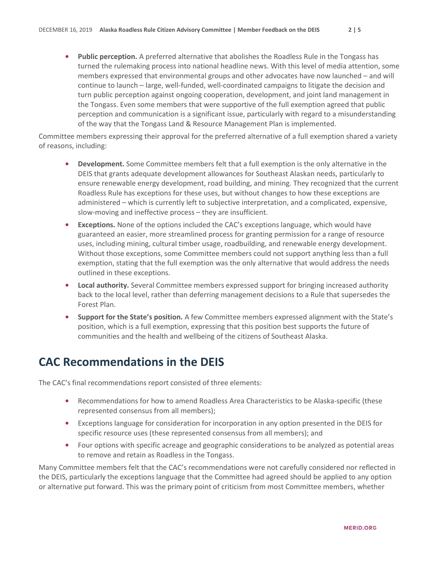**• Public perception.** A preferred alternative that abolishes the Roadless Rule in the Tongass has turned the rulemaking process into national headline news. With this level of media attention, some members expressed that environmental groups and other advocates have now launched – and will continue to launch – large, well-funded, well-coordinated campaigns to litigate the decision and turn public perception against ongoing cooperation, development, and joint land management in the Tongass. Even some members that were supportive of the full exemption agreed that public perception and communication is a significant issue, particularly with regard to a misunderstanding of the way that the Tongass Land & Resource Management Plan is implemented.

Committee members expressing their approval for the preferred alternative of a full exemption shared a variety of reasons, including:

- **• Development.** Some Committee members felt that a full exemption is the only alternative in the DEIS that grants adequate development allowances for Southeast Alaskan needs, particularly to ensure renewable energy development, road building, and mining. They recognized that the current Roadless Rule has exceptions for these uses, but without changes to how these exceptions are administered – which is currently left to subjective interpretation, and a complicated, expensive, slow-moving and ineffective process – they are insufficient.
- **• Exceptions.** None of the options included the CAC's exceptions language, which would have guaranteed an easier, more streamlined process for granting permission for a range of resource uses, including mining, cultural timber usage, roadbuilding, and renewable energy development. Without those exceptions, some Committee members could not support anything less than a full exemption, stating that the full exemption was the only alternative that would address the needs outlined in these exceptions.
- **• Local authority.** Several Committee members expressed support for bringing increased authority back to the local level, rather than deferring management decisions to a Rule that supersedes the Forest Plan.
- **• Support for the State's position.** A few Committee members expressed alignment with the State's position, which is a full exemption, expressing that this position best supports the future of communities and the health and wellbeing of the citizens of Southeast Alaska.

## **CAC Recommendations in the DEIS**

The CAC's final recommendations report consisted of three elements:

- **•** Recommendations for how to amend Roadless Area Characteristics to be Alaska-specific (these represented consensus from all members);
- **•** Exceptions language for consideration for incorporation in any option presented in the DEIS for specific resource uses (these represented consensus from all members); and
- **•** Four options with specific acreage and geographic considerations to be analyzed as potential areas to remove and retain as Roadless in the Tongass.

Many Committee members felt that the CAC's recommendations were not carefully considered nor reflected in the DEIS, particularly the exceptions language that the Committee had agreed should be applied to any option or alternative put forward. This was the primary point of criticism from most Committee members, whether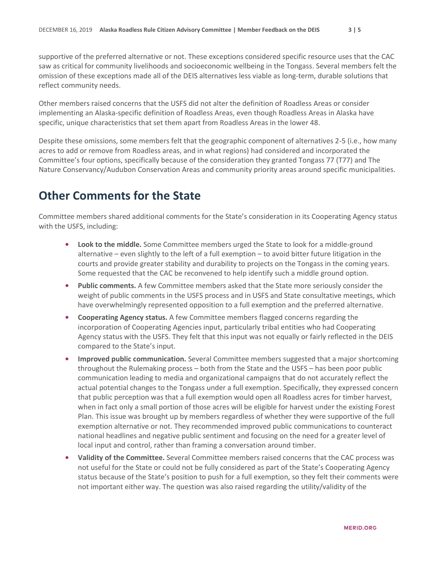supportive of the preferred alternative or not. These exceptions considered specific resource uses that the CAC saw as critical for community livelihoods and socioeconomic wellbeing in the Tongass. Several members felt the omission of these exceptions made all of the DEIS alternatives less viable as long-term, durable solutions that reflect community needs.

Other members raised concerns that the USFS did not alter the definition of Roadless Areas or consider implementing an Alaska-specific definition of Roadless Areas, even though Roadless Areas in Alaska have specific, unique characteristics that set them apart from Roadless Areas in the lower 48.

Despite these omissions, some members felt that the geographic component of alternatives 2-5 (i.e., how many acres to add or remove from Roadless areas, and in what regions) had considered and incorporated the Committee's four options, specifically because of the consideration they granted Tongass 77 (T77) and The Nature Conservancy/Audubon Conservation Areas and community priority areas around specific municipalities.

#### **Other Comments for the State**

Committee members shared additional comments for the State's consideration in its Cooperating Agency status with the USFS, including:

- **• Look to the middle.** Some Committee members urged the State to look for a middle-ground alternative – even slightly to the left of a full exemption – to avoid bitter future litigation in the courts and provide greater stability and durability to projects on the Tongass in the coming years. Some requested that the CAC be reconvened to help identify such a middle ground option.
- **• Public comments.** A few Committee members asked that the State more seriously consider the weight of public comments in the USFS process and in USFS and State consultative meetings, which have overwhelmingly represented opposition to a full exemption and the preferred alternative.
- **• Cooperating Agency status.** A few Committee members flagged concerns regarding the incorporation of Cooperating Agencies input, particularly tribal entities who had Cooperating Agency status with the USFS. They felt that this input was not equally or fairly reflected in the DEIS compared to the State's input.
- **• Improved public communication.** Several Committee members suggested that a major shortcoming throughout the Rulemaking process – both from the State and the USFS – has been poor public communication leading to media and organizational campaigns that do not accurately reflect the actual potential changes to the Tongass under a full exemption. Specifically, they expressed concern that public perception was that a full exemption would open all Roadless acres for timber harvest, when in fact only a small portion of those acres will be eligible for harvest under the existing Forest Plan. This issue was brought up by members regardless of whether they were supportive of the full exemption alternative or not. They recommended improved public communications to counteract national headlines and negative public sentiment and focusing on the need for a greater level of local input and control, rather than framing a conversation around timber.
- **• Validity of the Committee.** Several Committee members raised concerns that the CAC process was not useful for the State or could not be fully considered as part of the State's Cooperating Agency status because of the State's position to push for a full exemption, so they felt their comments were not important either way. The question was also raised regarding the utility/validity of the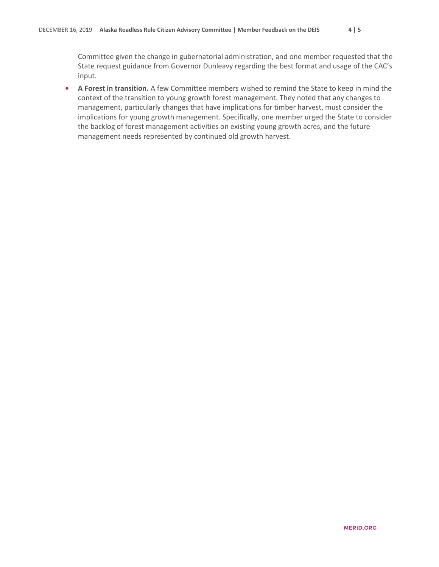Committee given the change in gubernatorial administration, and one member requested that the State request guidance from Governor Dunleavy regarding the best format and usage of the CAC's input.

**• A Forest in transition.** A few Committee members wished to remind the State to keep in mind the context of the transition to young growth forest management. They noted that any changes to management, particularly changes that have implications for timber harvest, must consider the implications for young growth management. Specifically, one member urged the State to consider the backlog of forest management activities on existing young growth acres, and the future management needs represented by continued old growth harvest.